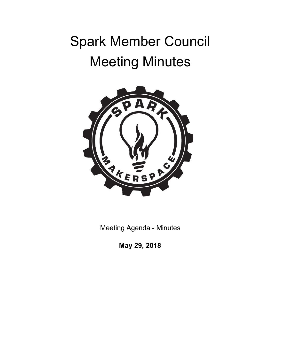# Spark Member Council Meeting Minutes



Meeting Agenda - Minutes

**May 29, 2018**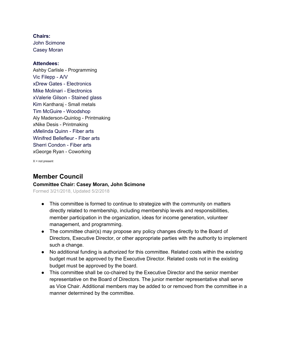**Chairs:** John Scimone Casey Moran

### **Attendees:**

Ashby Carlisle - Programming Vic Filepp - A/V xDrew Gates - Electronics Mike Molinari - Electronics xValerie Gilson - Stained glass Kim Kantharaj - Small metals Tim McGuire - Woodshop Aly Maderson-Quinlog - Printmaking xNike Desis - Printmaking xMelinda Quinn - Fiber arts Winifred Bellefleur - Fiber arts Sherri Condon - Fiber arts xGeorge Ryan - Coworking

 $X = not present$ 

## **Member Council**

#### **Committee Chair: Casey Moran, John Scimone**

Formed 3/21/2018, Updated 5/2/2018

- This committee is formed to continue to strategize with the community on matters directly related to membership, including membership levels and responsibilities, member participation in the organization, ideas for income generation, volunteer management, and programming.
- The committee chair(s) may propose any policy changes directly to the Board of Directors, Executive Director, or other appropriate parties with the authority to implement such a change.
- No additional funding is authorized for this committee. Related costs within the existing budget must be approved by the Executive Director. Related costs not in the existing budget must be approved by the board.
- This committee shall be co-chaired by the Executive Director and the senior member representative on the Board of Directors. The junior member representative shall serve as Vice Chair. Additional members may be added to or removed from the committee in a manner determined by the committee.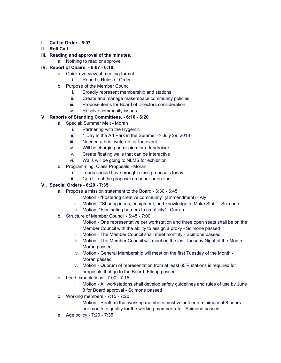- **I. Call to Order - 6:07**
- **II. Roll Call**
- **III. Reading and approval of the minutes.**
	- a. Nothing to read or approve

#### **IV. Report of Chairs. - 6:07 - 6:10**

- a. Quick overview of meeting format
	- i. Robert's Rules of Order
- b. Purpose of the Member Council
	- i. Broadly represent membership and stations
	- ii. Create and manage makerspace community policies
	- iii. Propose items for Board of Directors consideration
	- iv. Resolve community issues

#### **V. Reports of Standing Committees. - 6:10 - 6:20**

- a. Special: Summer Melt Moran
	- i. Partnering with the Hygeinic
	- ii. 1 Day in the Art Park in the Summer -> July 29, 2018
	- iii. Needed a brief write-up for the event
	- iv. Will be charging admission for a fundraiser
	- v. Create floating walls that can be interactive
	- vi. Walls will be going to NLMS for exhibition
- b. Programming: Class Proposals Moran
	- i. Leads should have brought class proposals today
	- ii. Can fill out the proposal on paper or on-line

#### **VI. Special Orders - 6:20 - 7:35**

- a. Propose a mission statement to the Board 6:30 6:45
	- Motion "Fostering creative community" (ammendment) Aly
	- ii. Motion "Sharing ideas, equipment, and knowledge to Make Stuff" Scimone
	- iii. Motion- "Eliminating barriers to creativity" Curran
- b. Structure of Member Council 6:45 7:00
	- i. Motion One representative per workstation and three open seats shall be on the Member Council with the ability to assign a proxy - Scimone passed
	- ii. Motion The Member Council shall meet monthly Scimone passed
	- iii. Motion The Member Council will meet on the last Tuesday Night of the Month Moran passed
	- iv. Motion General Membership will meet on the first Tuesday of the Month Moran passed
	- v. Motion Quorum of representation from at least 65% stations is required for proposals that go to the Board- FIlepp passed
- c. Lead expectations 7:00 7:15
	- i. Motion All workstations shall develop safety guidelines and rules of use by June 8 for Board approval - Scimone passed
- d. Working members 7:15 7:20
	- i. Motion Reaffirm that working members must volunteer a minimum of 8 hours per month to qualify for the working member rate - Scimone passed
- e. Age policy 7:20 7:35